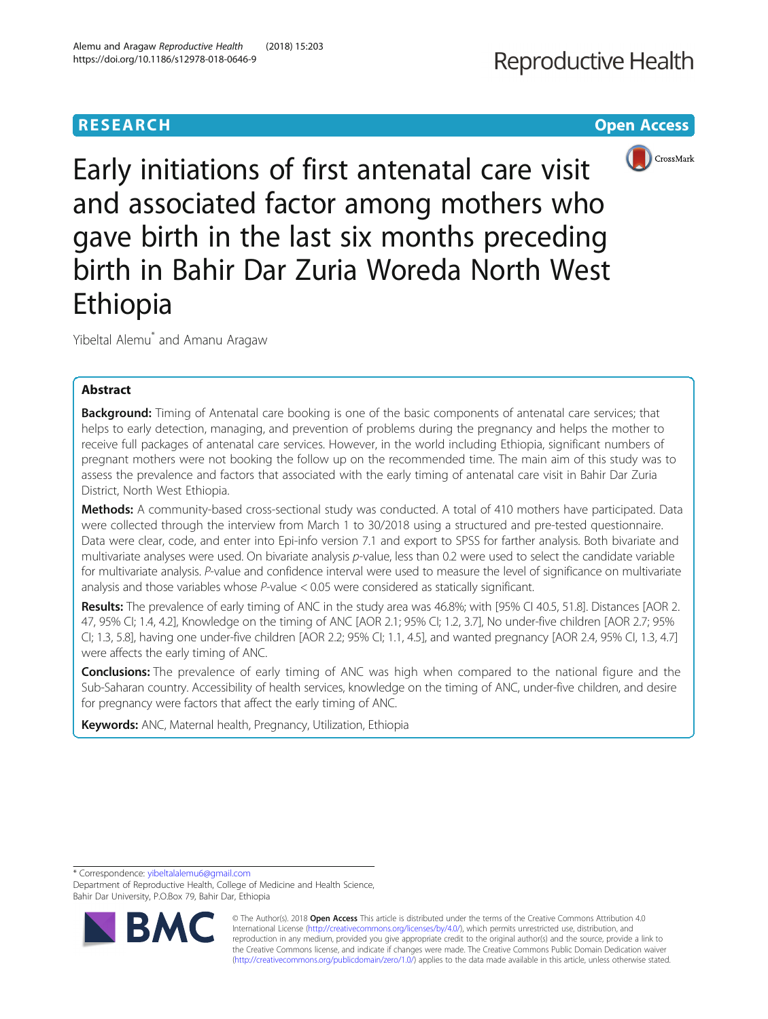## **RESEARCH CHINESE ARCHITECT CONTROL**

# Reproductive Health



Early initiations of first antenatal care visit and associated factor among mothers who gave birth in the last six months preceding birth in Bahir Dar Zuria Woreda North West Ethiopia

Yibeltal Alemu\* and Amanu Aragaw

Alemu and Aragaw Reproductive Health (2018) 15:203

https://doi.org/10.1186/s12978-018-0646-9

## Abstract

Background: Timing of Antenatal care booking is one of the basic components of antenatal care services; that helps to early detection, managing, and prevention of problems during the pregnancy and helps the mother to receive full packages of antenatal care services. However, in the world including Ethiopia, significant numbers of pregnant mothers were not booking the follow up on the recommended time. The main aim of this study was to assess the prevalence and factors that associated with the early timing of antenatal care visit in Bahir Dar Zuria District, North West Ethiopia.

Methods: A community-based cross-sectional study was conducted. A total of 410 mothers have participated. Data were collected through the interview from March 1 to 30/2018 using a structured and pre-tested questionnaire. Data were clear, code, and enter into Epi-info version 7.1 and export to SPSS for farther analysis. Both bivariate and multivariate analyses were used. On bivariate analysis p-value, less than 0.2 were used to select the candidate variable for multivariate analysis. P-value and confidence interval were used to measure the level of significance on multivariate analysis and those variables whose P-value < 0.05 were considered as statically significant.

Results: The prevalence of early timing of ANC in the study area was 46.8%; with [95% CI 40.5, 51.8]. Distances [AOR 2. 47, 95% CI; 1.4, 4.2], Knowledge on the timing of ANC [AOR 2.1; 95% CI; 1.2, 3.7], No under-five children [AOR 2.7; 95% CI; 1.3, 5.8], having one under-five children [AOR 2.2; 95% CI; 1.1, 4.5], and wanted pregnancy [AOR 2.4, 95% CI, 1.3, 4.7] were affects the early timing of ANC.

**Conclusions:** The prevalence of early timing of ANC was high when compared to the national figure and the Sub-Saharan country. Accessibility of health services, knowledge on the timing of ANC, under-five children, and desire for pregnancy were factors that affect the early timing of ANC.

Keywords: ANC, Maternal health, Pregnancy, Utilization, Ethiopia

\* Correspondence: [yibeltalalemu6@gmail.com](mailto:yibeltalalemu6@gmail.com)

Department of Reproductive Health, College of Medicine and Health Science, Bahir Dar University, P.O.Box 79, Bahir Dar, Ethiopia



© The Author(s). 2018 Open Access This article is distributed under the terms of the Creative Commons Attribution 4.0 International License [\(http://creativecommons.org/licenses/by/4.0/](http://creativecommons.org/licenses/by/4.0/)), which permits unrestricted use, distribution, and reproduction in any medium, provided you give appropriate credit to the original author(s) and the source, provide a link to the Creative Commons license, and indicate if changes were made. The Creative Commons Public Domain Dedication waiver [\(http://creativecommons.org/publicdomain/zero/1.0/](http://creativecommons.org/publicdomain/zero/1.0/)) applies to the data made available in this article, unless otherwise stated.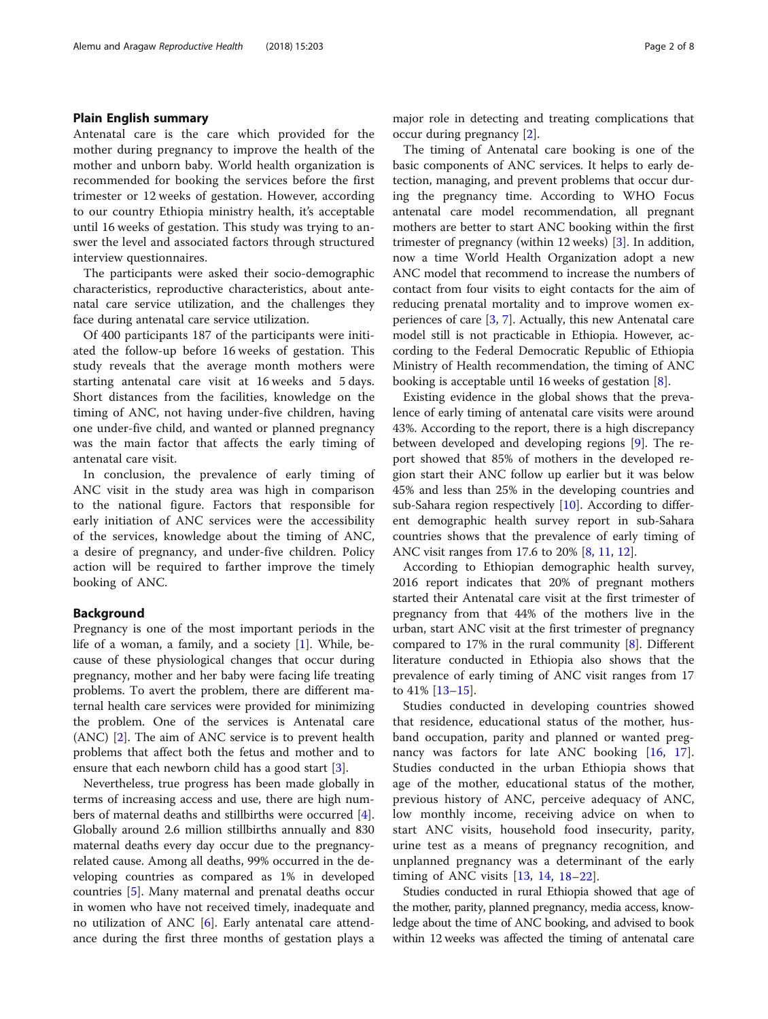## Plain English summary

Antenatal care is the care which provided for the mother during pregnancy to improve the health of the mother and unborn baby. World health organization is recommended for booking the services before the first trimester or 12 weeks of gestation. However, according to our country Ethiopia ministry health, it's acceptable until 16 weeks of gestation. This study was trying to answer the level and associated factors through structured interview questionnaires.

The participants were asked their socio-demographic characteristics, reproductive characteristics, about antenatal care service utilization, and the challenges they face during antenatal care service utilization.

Of 400 participants 187 of the participants were initiated the follow-up before 16 weeks of gestation. This study reveals that the average month mothers were starting antenatal care visit at 16 weeks and 5 days. Short distances from the facilities, knowledge on the timing of ANC, not having under-five children, having one under-five child, and wanted or planned pregnancy was the main factor that affects the early timing of antenatal care visit.

In conclusion, the prevalence of early timing of ANC visit in the study area was high in comparison to the national figure. Factors that responsible for early initiation of ANC services were the accessibility of the services, knowledge about the timing of ANC, a desire of pregnancy, and under-five children. Policy action will be required to farther improve the timely booking of ANC.

## Background

Pregnancy is one of the most important periods in the life of a woman, a family, and a society [\[1](#page-6-0)]. While, because of these physiological changes that occur during pregnancy, mother and her baby were facing life treating problems. To avert the problem, there are different maternal health care services were provided for minimizing the problem. One of the services is Antenatal care (ANC) [[2\]](#page-6-0). The aim of ANC service is to prevent health problems that affect both the fetus and mother and to ensure that each newborn child has a good start [\[3](#page-6-0)].

Nevertheless, true progress has been made globally in terms of increasing access and use, there are high numbers of maternal deaths and stillbirths were occurred [\[4](#page-6-0)]. Globally around 2.6 million stillbirths annually and 830 maternal deaths every day occur due to the pregnancyrelated cause. Among all deaths, 99% occurred in the developing countries as compared as 1% in developed countries [\[5](#page-6-0)]. Many maternal and prenatal deaths occur in women who have not received timely, inadequate and no utilization of ANC  $[6]$  $[6]$ . Early antenatal care attendance during the first three months of gestation plays a major role in detecting and treating complications that occur during pregnancy [[2](#page-6-0)].

The timing of Antenatal care booking is one of the basic components of ANC services. It helps to early detection, managing, and prevent problems that occur during the pregnancy time. According to WHO Focus antenatal care model recommendation, all pregnant mothers are better to start ANC booking within the first trimester of pregnancy (within 12 weeks) [\[3\]](#page-6-0). In addition, now a time World Health Organization adopt a new ANC model that recommend to increase the numbers of contact from four visits to eight contacts for the aim of reducing prenatal mortality and to improve women experiences of care [[3,](#page-6-0) [7\]](#page-6-0). Actually, this new Antenatal care model still is not practicable in Ethiopia. However, according to the Federal Democratic Republic of Ethiopia Ministry of Health recommendation, the timing of ANC booking is acceptable until 16 weeks of gestation [\[8\]](#page-6-0).

Existing evidence in the global shows that the prevalence of early timing of antenatal care visits were around 43%. According to the report, there is a high discrepancy between developed and developing regions [\[9](#page-6-0)]. The report showed that 85% of mothers in the developed region start their ANC follow up earlier but it was below 45% and less than 25% in the developing countries and sub-Sahara region respectively [[10\]](#page-6-0). According to different demographic health survey report in sub-Sahara countries shows that the prevalence of early timing of ANC visit ranges from 17.6 to 20% [\[8](#page-6-0), [11,](#page-6-0) [12\]](#page-6-0).

According to Ethiopian demographic health survey, 2016 report indicates that 20% of pregnant mothers started their Antenatal care visit at the first trimester of pregnancy from that 44% of the mothers live in the urban, start ANC visit at the first trimester of pregnancy compared to 17% in the rural community  $[8]$  $[8]$ . Different literature conducted in Ethiopia also shows that the prevalence of early timing of ANC visit ranges from 17 to 41% [[13](#page-6-0)–[15](#page-6-0)].

Studies conducted in developing countries showed that residence, educational status of the mother, husband occupation, parity and planned or wanted pregnancy was factors for late ANC booking [\[16](#page-6-0), [17](#page-6-0)]. Studies conducted in the urban Ethiopia shows that age of the mother, educational status of the mother, previous history of ANC, perceive adequacy of ANC, low monthly income, receiving advice on when to start ANC visits, household food insecurity, parity, urine test as a means of pregnancy recognition, and unplanned pregnancy was a determinant of the early timing of ANC visits [\[13](#page-6-0), [14](#page-6-0), [18](#page-6-0)–[22\]](#page-6-0).

Studies conducted in rural Ethiopia showed that age of the mother, parity, planned pregnancy, media access, knowledge about the time of ANC booking, and advised to book within 12 weeks was affected the timing of antenatal care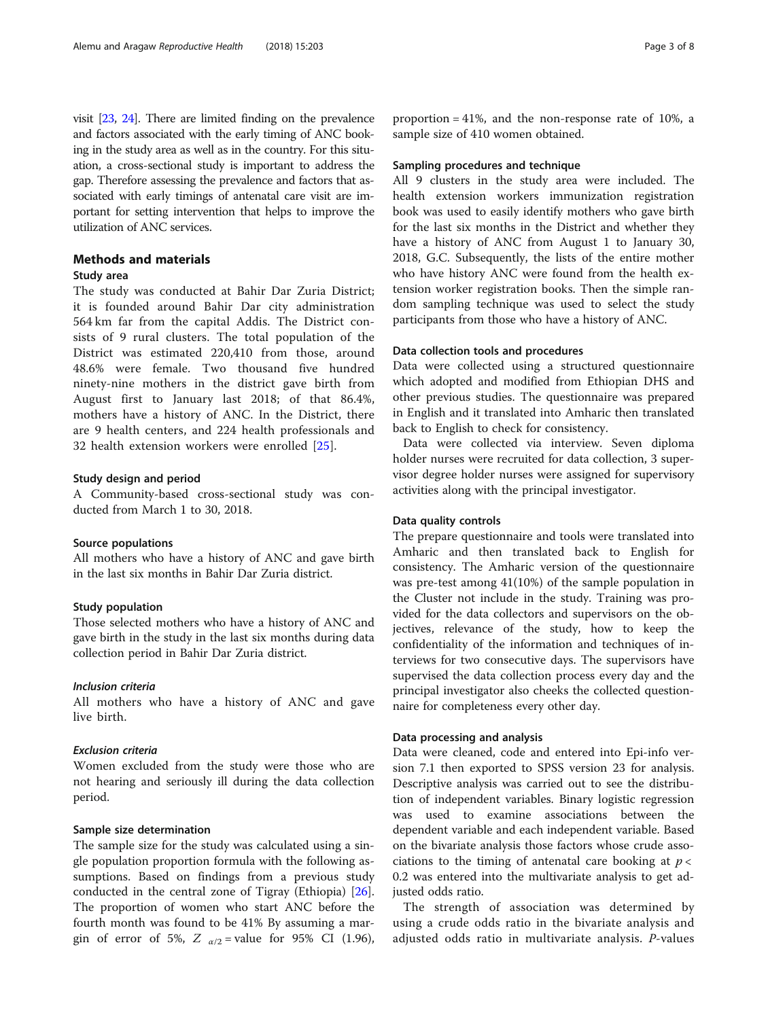visit [\[23,](#page-7-0) [24\]](#page-7-0). There are limited finding on the prevalence and factors associated with the early timing of ANC booking in the study area as well as in the country. For this situation, a cross-sectional study is important to address the gap. Therefore assessing the prevalence and factors that associated with early timings of antenatal care visit are important for setting intervention that helps to improve the utilization of ANC services.

## Methods and materials

## Study area

The study was conducted at Bahir Dar Zuria District; it is founded around Bahir Dar city administration 564 km far from the capital Addis. The District consists of 9 rural clusters. The total population of the District was estimated 220,410 from those, around 48.6% were female. Two thousand five hundred ninety-nine mothers in the district gave birth from August first to January last 2018; of that 86.4%, mothers have a history of ANC. In the District, there are 9 health centers, and 224 health professionals and 32 health extension workers were enrolled [[25\]](#page-7-0).

## Study design and period

A Community-based cross-sectional study was conducted from March 1 to 30, 2018.

#### Source populations

All mothers who have a history of ANC and gave birth in the last six months in Bahir Dar Zuria district.

#### Study population

Those selected mothers who have a history of ANC and gave birth in the study in the last six months during data collection period in Bahir Dar Zuria district.

## Inclusion criteria

All mothers who have a history of ANC and gave live birth.

## Exclusion criteria

Women excluded from the study were those who are not hearing and seriously ill during the data collection period.

## Sample size determination

The sample size for the study was calculated using a single population proportion formula with the following assumptions. Based on findings from a previous study conducted in the central zone of Tigray (Ethiopia) [\[26](#page-7-0)]. The proportion of women who start ANC before the fourth month was found to be 41% By assuming a margin of error of 5%,  $Z_{\alpha/2}$  = value for 95% CI (1.96),

## Sampling procedures and technique

All 9 clusters in the study area were included. The health extension workers immunization registration book was used to easily identify mothers who gave birth for the last six months in the District and whether they have a history of ANC from August 1 to January 30, 2018, G.C. Subsequently, the lists of the entire mother who have history ANC were found from the health extension worker registration books. Then the simple random sampling technique was used to select the study participants from those who have a history of ANC.

## Data collection tools and procedures

Data were collected using a structured questionnaire which adopted and modified from Ethiopian DHS and other previous studies. The questionnaire was prepared in English and it translated into Amharic then translated back to English to check for consistency.

Data were collected via interview. Seven diploma holder nurses were recruited for data collection, 3 supervisor degree holder nurses were assigned for supervisory activities along with the principal investigator.

#### Data quality controls

The prepare questionnaire and tools were translated into Amharic and then translated back to English for consistency. The Amharic version of the questionnaire was pre-test among 41(10%) of the sample population in the Cluster not include in the study. Training was provided for the data collectors and supervisors on the objectives, relevance of the study, how to keep the confidentiality of the information and techniques of interviews for two consecutive days. The supervisors have supervised the data collection process every day and the principal investigator also cheeks the collected questionnaire for completeness every other day.

## Data processing and analysis

Data were cleaned, code and entered into Epi-info version 7.1 then exported to SPSS version 23 for analysis. Descriptive analysis was carried out to see the distribution of independent variables. Binary logistic regression was used to examine associations between the dependent variable and each independent variable. Based on the bivariate analysis those factors whose crude associations to the timing of antenatal care booking at  $p <$ 0.2 was entered into the multivariate analysis to get adjusted odds ratio.

The strength of association was determined by using a crude odds ratio in the bivariate analysis and adjusted odds ratio in multivariate analysis. P-values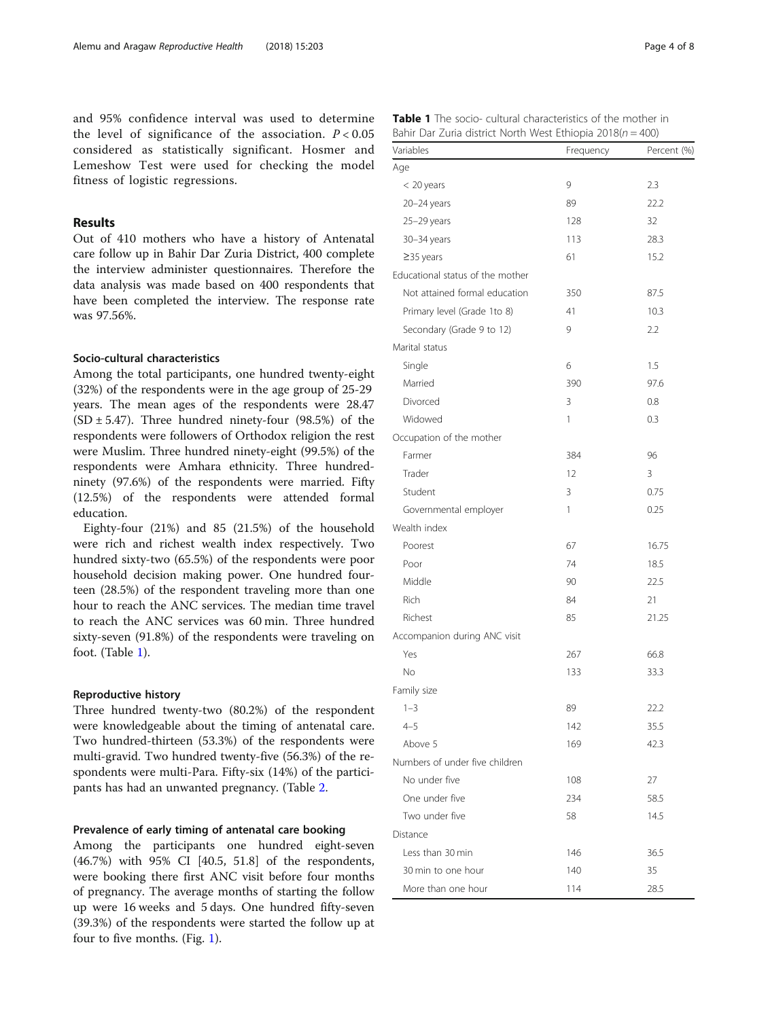and 95% confidence interval was used to determine the level of significance of the association.  $P < 0.05$ considered as statistically significant. Hosmer and Lemeshow Test were used for checking the model fitness of logistic regressions.

## Results

Out of 410 mothers who have a history of Antenatal care follow up in Bahir Dar Zuria District, 400 complete the interview administer questionnaires. Therefore the data analysis was made based on 400 respondents that have been completed the interview. The response rate was 97.56%.

## Socio-cultural characteristics

Among the total participants, one hundred twenty-eight (32%) of the respondents were in the age group of 25-29 years. The mean ages of the respondents were 28.47 (SD  $\pm$  5.47). Three hundred ninety-four (98.5%) of the respondents were followers of Orthodox religion the rest were Muslim. Three hundred ninety-eight (99.5%) of the respondents were Amhara ethnicity. Three hundredninety (97.6%) of the respondents were married. Fifty (12.5%) of the respondents were attended formal education.

Eighty-four (21%) and 85 (21.5%) of the household were rich and richest wealth index respectively. Two hundred sixty-two (65.5%) of the respondents were poor household decision making power. One hundred fourteen (28.5%) of the respondent traveling more than one hour to reach the ANC services. The median time travel to reach the ANC services was 60 min. Three hundred sixty-seven (91.8%) of the respondents were traveling on foot. (Table 1).

#### Reproductive history

Three hundred twenty-two (80.2%) of the respondent were knowledgeable about the timing of antenatal care. Two hundred-thirteen (53.3%) of the respondents were multi-gravid. Two hundred twenty-five (56.3%) of the respondents were multi-Para. Fifty-six (14%) of the participants has had an unwanted pregnancy. (Table [2](#page-4-0).

#### Prevalence of early timing of antenatal care booking

Among the participants one hundred eight-seven (46.7%) with 95% CI [40.5, 51.8] of the respondents, were booking there first ANC visit before four months of pregnancy. The average months of starting the follow up were 16 weeks and 5 days. One hundred fifty-seven (39.3%) of the respondents were started the follow up at four to five months. (Fig. [1\)](#page-4-0).

| <b>Table 1</b> The socio- cultural characteristics of the mother in |  |
|---------------------------------------------------------------------|--|
| Bahir Dar Zuria district North West Ethiopia 2018( $n = 400$ )      |  |

| Variables                        | Frequency | Percent (%) |
|----------------------------------|-----------|-------------|
| Age                              |           |             |
| < 20 years                       | 9         | 2.3         |
| 20-24 years                      | 89        | 22.2        |
| 25-29 years                      | 128       | 32          |
| 30–34 years                      | 113       | 28.3        |
| $\geq$ 35 years                  | 61        | 15.2        |
| Educational status of the mother |           |             |
| Not attained formal education    | 350       | 87.5        |
| Primary level (Grade 1to 8)      | 41        | 10.3        |
| Secondary (Grade 9 to 12)        | 9         | 2.2         |
| Marital status                   |           |             |
| Single                           | 6         | 1.5         |
| Married                          | 390       | 97.6        |
| Divorced                         | 3         | 0.8         |
| Widowed                          | 1         | 0.3         |
| Occupation of the mother         |           |             |
| Farmer                           | 384       | 96          |
| Trader                           | 12        | 3           |
| Student                          | 3         | 0.75        |
| Governmental employer            | 1         | 0.25        |
| Wealth index                     |           |             |
| Poorest                          | 67        | 16.75       |
| Poor                             | 74        | 18.5        |
| Middle                           | 90        | 22.5        |
| Rich                             | 84        | 21          |
| Richest                          | 85        | 21.25       |
| Accompanion during ANC visit     |           |             |
| Yes                              | 267       | 66.8        |
| No                               | 133       | 33.3        |
| Family size                      |           |             |
| $1 - 3$                          | 89        | 22.2        |
| $4 - 5$                          | 142       | 35.5        |
| Above 5                          | 169       | 42.3        |
| Numbers of under five children   |           |             |
| No under five                    | 108       | 27          |
| One under five                   | 234       | 58.5        |
| Two under five                   | 58        | 14.5        |
| Distance                         |           |             |
| Less than 30 min                 | 146       | 36.5        |
| 30 min to one hour               | 140       | 35          |
| More than one hour               | 114       | 28.5        |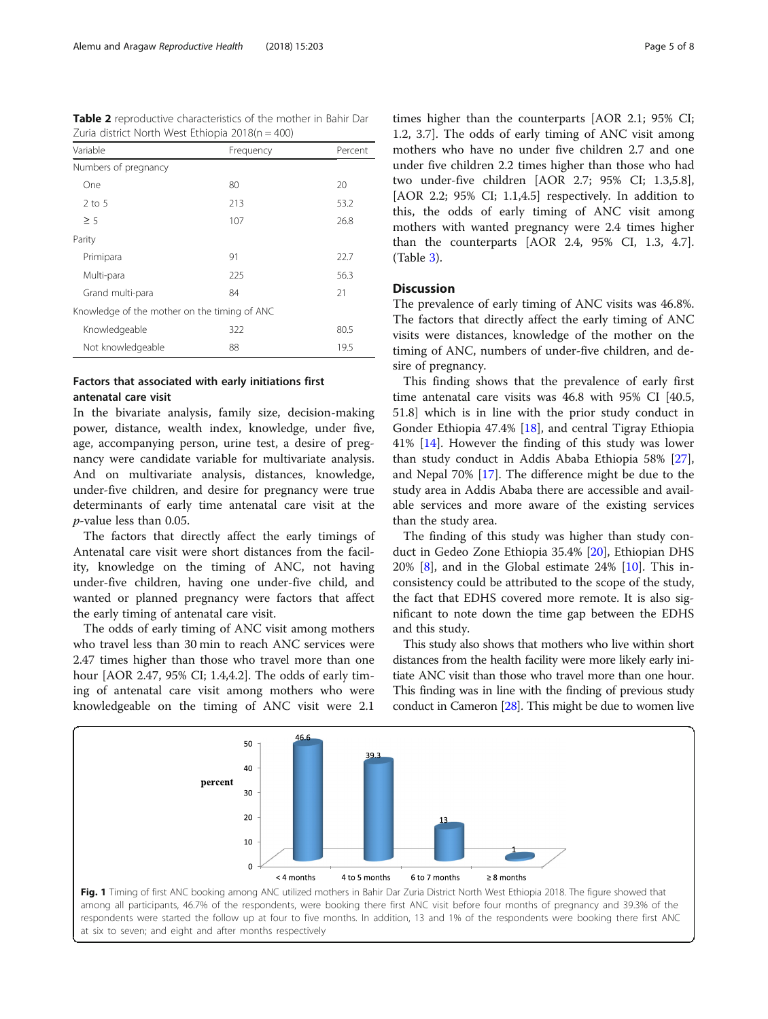<span id="page-4-0"></span>

|  | Table 2 reproductive characteristics of the mother in Bahir Dar |  |  |  |  |
|--|-----------------------------------------------------------------|--|--|--|--|
|  | Zuria district North West Ethiopia $2018(n = 400)$              |  |  |  |  |

| Variable                                     | Frequency | Percent |
|----------------------------------------------|-----------|---------|
| Numbers of pregnancy                         |           |         |
| One                                          | 80        | 20      |
| $2$ to 5                                     | 213       | 53.2    |
| $\geq 5$                                     | 107       | 26.8    |
| Parity                                       |           |         |
| Primipara                                    | 91        | 22.7    |
| Multi-para                                   | 225       | 56.3    |
| Grand multi-para                             | 84        | 21      |
| Knowledge of the mother on the timing of ANC |           |         |
| Knowledgeable                                | 322       | 80.5    |
| Not knowledgeable                            | 88        | 19.5    |

## Factors that associated with early initiations first antenatal care visit

In the bivariate analysis, family size, decision-making power, distance, wealth index, knowledge, under five, age, accompanying person, urine test, a desire of pregnancy were candidate variable for multivariate analysis. And on multivariate analysis, distances, knowledge, under-five children, and desire for pregnancy were true determinants of early time antenatal care visit at the p-value less than 0.05.

The factors that directly affect the early timings of Antenatal care visit were short distances from the facility, knowledge on the timing of ANC, not having under-five children, having one under-five child, and wanted or planned pregnancy were factors that affect the early timing of antenatal care visit.

The odds of early timing of ANC visit among mothers who travel less than 30 min to reach ANC services were 2.47 times higher than those who travel more than one hour [AOR 2.47, 95% CI; 1.4,4.2]. The odds of early timing of antenatal care visit among mothers who were knowledgeable on the timing of ANC visit were 2.1

times higher than the counterparts [AOR 2.1; 95% CI; 1.2, 3.7]. The odds of early timing of ANC visit among mothers who have no under five children 2.7 and one under five children 2.2 times higher than those who had two under-five children [AOR 2.7; 95% CI; 1.3,5.8], [AOR 2.2; 95% CI; 1.1,4.5] respectively. In addition to this, the odds of early timing of ANC visit among

## **Discussion**

(Table [3\)](#page-5-0).

The prevalence of early timing of ANC visits was 46.8%. The factors that directly affect the early timing of ANC visits were distances, knowledge of the mother on the timing of ANC, numbers of under-five children, and desire of pregnancy.

mothers with wanted pregnancy were 2.4 times higher than the counterparts [AOR 2.4, 95% CI, 1.3, 4.7].

This finding shows that the prevalence of early first time antenatal care visits was 46.8 with 95% CI [40.5, 51.8] which is in line with the prior study conduct in Gonder Ethiopia 47.4% [[18\]](#page-6-0), and central Tigray Ethiopia 41% [[14\]](#page-6-0). However the finding of this study was lower than study conduct in Addis Ababa Ethiopia 58% [\[27](#page-7-0)], and Nepal 70% [[17\]](#page-6-0). The difference might be due to the study area in Addis Ababa there are accessible and available services and more aware of the existing services than the study area.

The finding of this study was higher than study conduct in Gedeo Zone Ethiopia 35.4% [\[20\]](#page-6-0), Ethiopian DHS  $20\%$  [[8\]](#page-6-0), and in the Global estimate  $24\%$  [\[10](#page-6-0)]. This inconsistency could be attributed to the scope of the study, the fact that EDHS covered more remote. It is also significant to note down the time gap between the EDHS and this study.

This study also shows that mothers who live within short distances from the health facility were more likely early initiate ANC visit than those who travel more than one hour. This finding was in line with the finding of previous study conduct in Cameron [[28\]](#page-7-0). This might be due to women live



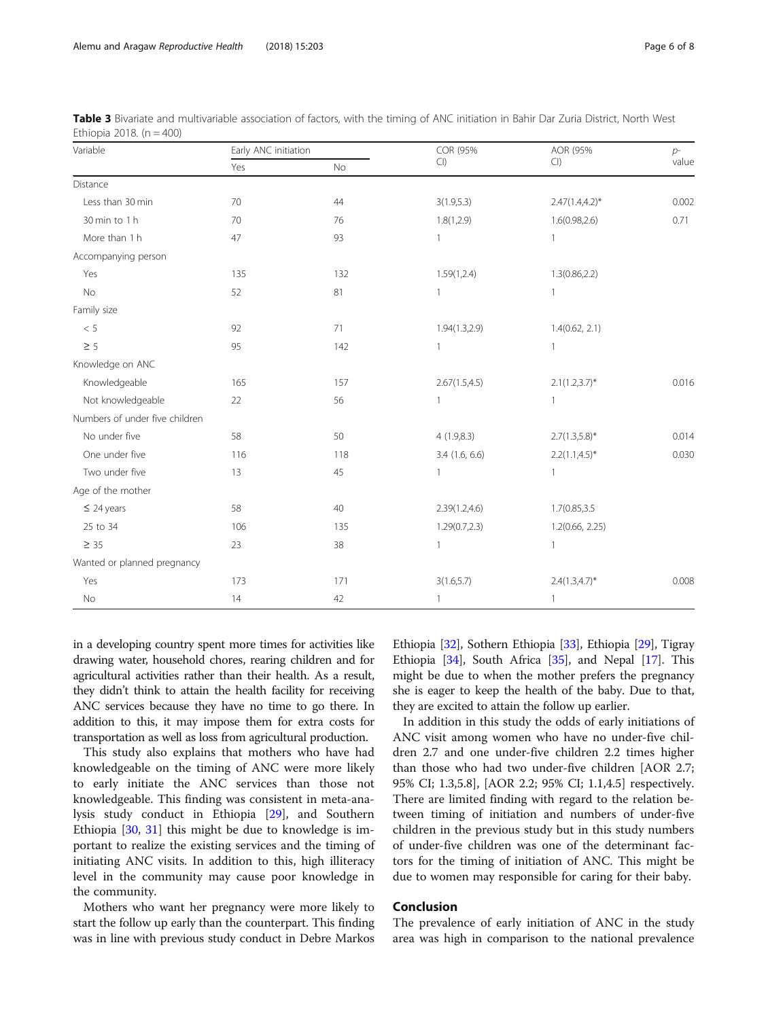| Variable                       | Early ANC initiation |           | COR (95%         | AOR (95%           | $p-$  |
|--------------------------------|----------------------|-----------|------------------|--------------------|-------|
|                                | Yes                  | <b>No</b> | Cl               | Cl                 | value |
| Distance                       |                      |           |                  |                    |       |
| Less than 30 min               | 70                   | 44        | 3(1.9,5.3)       | $2.47(1.4,4.2)$ *  | 0.002 |
| 30 min to 1 h                  | 70                   | 76        | 1.8(1,2.9)       | 1.6(0.98, 2.6)     | 0.71  |
| More than 1 h                  | 47                   | 93        | $\mathbf{1}$     |                    |       |
| Accompanying person            |                      |           |                  |                    |       |
| Yes                            | 135                  | 132       | 1.59(1,2.4)      | 1.3(0.86, 2.2)     |       |
| No                             | 52                   | 81        | 1                | 1                  |       |
| Family size                    |                      |           |                  |                    |       |
| $<\,5$                         | 92                   | 71        | 1.94(1.3,2.9)    | 1.4(0.62, 2.1)     |       |
| $\geq$ 5                       | 95                   | 142       | 1                | $\mathbf{1}$       |       |
| Knowledge on ANC               |                      |           |                  |                    |       |
| Knowledgeable                  | 165                  | 157       | 2.67(1.5, 4.5)   | $2.1(1.2,3.7)^{*}$ | 0.016 |
| Not knowledgeable              | 22                   | 56        | 1                |                    |       |
| Numbers of under five children |                      |           |                  |                    |       |
| No under five                  | 58                   | 50        | 4(1.9, 8.3)      | $2.7(1.3,5.8)$ *   | 0.014 |
| One under five                 | 116                  | 118       | $3.4$ (1.6, 6.6) | $2.2(1.1, 4.5)^*$  | 0.030 |
| Two under five                 | 13                   | 45        | $\mathbf{1}$     | $\mathbf{1}$       |       |
| Age of the mother              |                      |           |                  |                    |       |
| $\leq$ 24 years                | 58                   | 40        | 2.39(1.2, 4.6)   | 1.7(0.85,3.5       |       |
| 25 to 34                       | 106                  | 135       | 1.29(0.7, 2.3)   | 1.2(0.66, 2.25)    |       |
| $\geq$ 35                      | 23                   | 38        | $\mathbf{1}$     | $\overline{1}$     |       |
| Wanted or planned pregnancy    |                      |           |                  |                    |       |
| Yes                            | 173                  | 171       | 3(1.6, 5.7)      | $2.4(1.3,4.7)^{*}$ | 0.008 |
| No                             | 14                   | 42        | $\mathbf{1}$     | $\mathbf{1}$       |       |

<span id="page-5-0"></span>Table 3 Bivariate and multivariable association of factors, with the timing of ANC initiation in Bahir Dar Zuria District, North West Ethiopia 2018.  $(n = 400)$ 

in a developing country spent more times for activities like drawing water, household chores, rearing children and for agricultural activities rather than their health. As a result, they didn't think to attain the health facility for receiving ANC services because they have no time to go there. In addition to this, it may impose them for extra costs for transportation as well as loss from agricultural production.

This study also explains that mothers who have had knowledgeable on the timing of ANC were more likely to early initiate the ANC services than those not knowledgeable. This finding was consistent in meta-analysis study conduct in Ethiopia [[29\]](#page-7-0), and Southern Ethiopia [\[30](#page-7-0), [31\]](#page-7-0) this might be due to knowledge is important to realize the existing services and the timing of initiating ANC visits. In addition to this, high illiteracy level in the community may cause poor knowledge in the community.

Mothers who want her pregnancy were more likely to start the follow up early than the counterpart. This finding was in line with previous study conduct in Debre Markos

Ethiopia [\[32\]](#page-7-0), Sothern Ethiopia [\[33\]](#page-7-0), Ethiopia [\[29\]](#page-7-0), Tigray Ethiopia [\[34\]](#page-7-0), South Africa [\[35\]](#page-7-0), and Nepal [[17](#page-6-0)]. This might be due to when the mother prefers the pregnancy she is eager to keep the health of the baby. Due to that, they are excited to attain the follow up earlier.

In addition in this study the odds of early initiations of ANC visit among women who have no under-five children 2.7 and one under-five children 2.2 times higher than those who had two under-five children [AOR 2.7; 95% CI; 1.3,5.8], [AOR 2.2; 95% CI; 1.1,4.5] respectively. There are limited finding with regard to the relation between timing of initiation and numbers of under-five children in the previous study but in this study numbers of under-five children was one of the determinant factors for the timing of initiation of ANC. This might be due to women may responsible for caring for their baby.

## Conclusion

The prevalence of early initiation of ANC in the study area was high in comparison to the national prevalence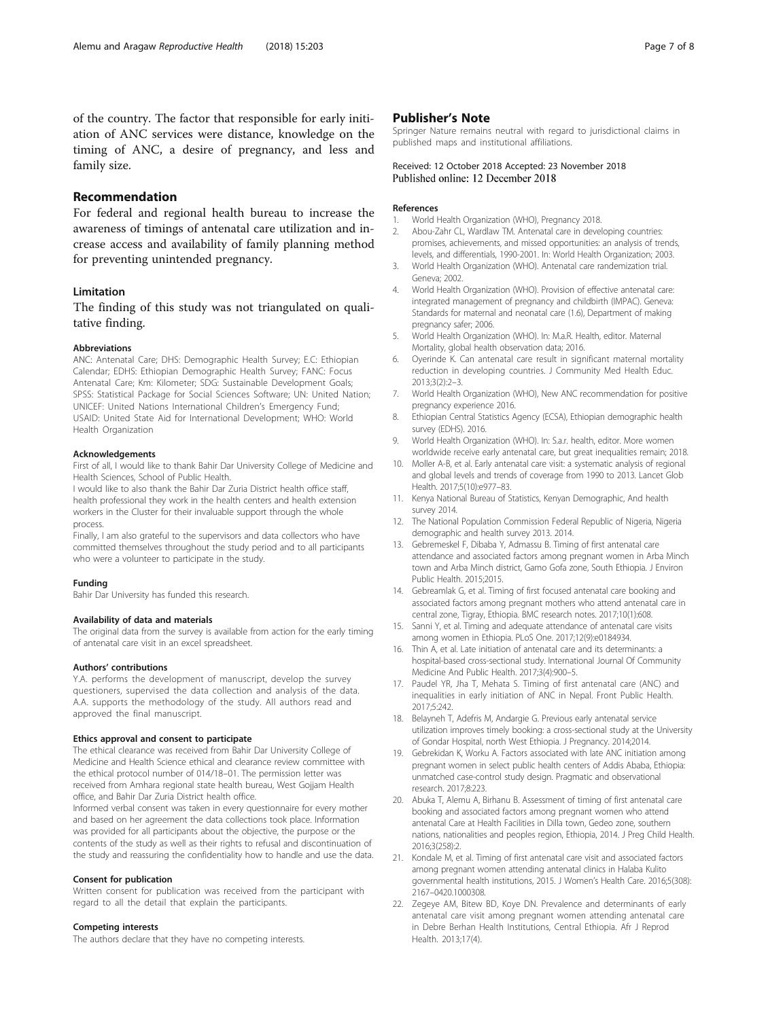<span id="page-6-0"></span>of the country. The factor that responsible for early initiation of ANC services were distance, knowledge on the timing of ANC, a desire of pregnancy, and less and family size.

## Recommendation

For federal and regional health bureau to increase the awareness of timings of antenatal care utilization and increase access and availability of family planning method for preventing unintended pregnancy.

#### Limitation

The finding of this study was not triangulated on qualitative finding.

#### Abbreviations

ANC: Antenatal Care; DHS: Demographic Health Survey; E.C: Ethiopian Calendar; EDHS: Ethiopian Demographic Health Survey; FANC: Focus Antenatal Care; Km: Kilometer; SDG: Sustainable Development Goals; SPSS: Statistical Package for Social Sciences Software; UN: United Nation; UNICEF: United Nations International Children's Emergency Fund; USAID: United State Aid for International Development; WHO: World Health Organization

## Acknowledgements

First of all, I would like to thank Bahir Dar University College of Medicine and Health Sciences, School of Public Health.

I would like to also thank the Bahir Dar Zuria District health office staff, health professional they work in the health centers and health extension workers in the Cluster for their invaluable support through the whole process.

Finally, I am also grateful to the supervisors and data collectors who have committed themselves throughout the study period and to all participants who were a volunteer to participate in the study.

#### Funding

Bahir Dar University has funded this research.

#### Availability of data and materials

The original data from the survey is available from action for the early timing of antenatal care visit in an excel spreadsheet.

#### Authors' contributions

Y.A. performs the development of manuscript, develop the survey questioners, supervised the data collection and analysis of the data. A.A. supports the methodology of the study. All authors read and approved the final manuscript.

## Ethics approval and consent to participate

The ethical clearance was received from Bahir Dar University College of Medicine and Health Science ethical and clearance review committee with the ethical protocol number of 014/18–01. The permission letter was received from Amhara regional state health bureau, West Gojjam Health office, and Bahir Dar Zuria District health office.

Informed verbal consent was taken in every questionnaire for every mother and based on her agreement the data collections took place. Information was provided for all participants about the objective, the purpose or the contents of the study as well as their rights to refusal and discontinuation of the study and reassuring the confidentiality how to handle and use the data.

#### Consent for publication

Written consent for publication was received from the participant with regard to all the detail that explain the participants.

## Competing interests

The authors declare that they have no competing interests.

## Publisher's Note

Springer Nature remains neutral with regard to jurisdictional claims in published maps and institutional affiliations.

# Received: 12 October 2018 Accepted: 23 November 2018<br>Published online: 12 December 2018

#### References

- 1. World Health Organization (WHO), Pregnancy 2018.<br>2. Abou-Zabr CL Wardlaw TM Antenatal care in deve
- Abou-Zahr CL, Wardlaw TM. Antenatal care in developing countries: promises, achievements, and missed opportunities: an analysis of trends, levels, and differentials, 1990-2001. In: World Health Organization; 2003.
- 3. World Health Organization (WHO). Antenatal care randemization trial. Geneva; 2002.
- 4. World Health Organization (WHO). Provision of effective antenatal care: integrated management of pregnancy and childbirth (IMPAC). Geneva: Standards for maternal and neonatal care (1.6), Department of making pregnancy safer; 2006.
- 5. World Health Organization (WHO). In: M.a.R. Health, editor. Maternal Mortality, global health observation data; 2016.
- 6. Oyerinde K. Can antenatal care result in significant maternal mortality reduction in developing countries. J Community Med Health Educ. 2013;3(2):2–3.
- 7. World Health Organization (WHO), New ANC recommendation for positive pregnancy experience 2016.
- 8. Ethiopian Central Statistics Agency (ECSA), Ethiopian demographic health survey (EDHS). 2016.
- 9. World Health Organization (WHO). In: S.a.r. health, editor. More women worldwide receive early antenatal care, but great inequalities remain; 2018.
- 10. Moller A-B, et al. Early antenatal care visit: a systematic analysis of regional and global levels and trends of coverage from 1990 to 2013. Lancet Glob Health. 2017;5(10):e977–83.
- 11. Kenya National Bureau of Statistics, Kenyan Demographic, And health survey 2014.
- 12. The National Population Commission Federal Republic of Nigeria, Nigeria demographic and health survey 2013. 2014.
- 13. Gebremeskel F, Dibaba Y, Admassu B. Timing of first antenatal care attendance and associated factors among pregnant women in Arba Minch town and Arba Minch district, Gamo Gofa zone, South Ethiopia. J Environ Public Health. 2015;2015.
- 14. Gebreamlak G, et al. Timing of first focused antenatal care booking and associated factors among pregnant mothers who attend antenatal care in central zone, Tigray, Ethiopia. BMC research notes. 2017;10(1):608.
- 15. Sanni Y, et al. Timing and adequate attendance of antenatal care visits among women in Ethiopia. PLoS One. 2017;12(9):e0184934.
- 16. Thin A, et al. Late initiation of antenatal care and its determinants: a hospital-based cross-sectional study. International Journal Of Community Medicine And Public Health. 2017;3(4):900–5.
- 17. Paudel YR, Jha T, Mehata S. Timing of first antenatal care (ANC) and inequalities in early initiation of ANC in Nepal. Front Public Health. 2017;5:242.
- 18. Belayneh T, Adefris M, Andargie G. Previous early antenatal service utilization improves timely booking: a cross-sectional study at the University of Gondar Hospital, north West Ethiopia. J Pregnancy. 2014;2014.
- 19. Gebrekidan K, Worku A. Factors associated with late ANC initiation among pregnant women in select public health centers of Addis Ababa, Ethiopia: unmatched case-control study design. Pragmatic and observational research. 2017;8:223.
- 20. Abuka T, Alemu A, Birhanu B. Assessment of timing of first antenatal care booking and associated factors among pregnant women who attend antenatal Care at Health Facilities in Dilla town, Gedeo zone, southern nations, nationalities and peoples region, Ethiopia, 2014. J Preg Child Health. 2016;3(258):2.
- 21. Kondale M, et al. Timing of first antenatal care visit and associated factors among pregnant women attending antenatal clinics in Halaba Kulito governmental health institutions, 2015. J Women's Health Care. 2016;5(308): 2167–0420.1000308.
- 22. Zegeye AM, Bitew BD, Koye DN. Prevalence and determinants of early antenatal care visit among pregnant women attending antenatal care in Debre Berhan Health Institutions, Central Ethiopia. Afr J Reprod Health. 2013;17(4).